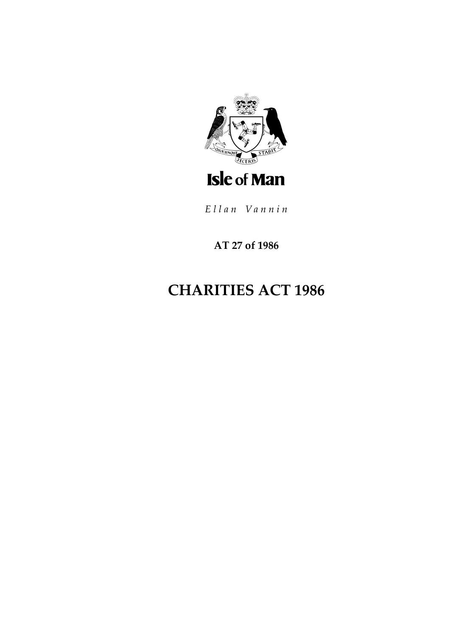

Ellan Vannin

AT 27 of 1986

# **CHARITIES ACT 1986**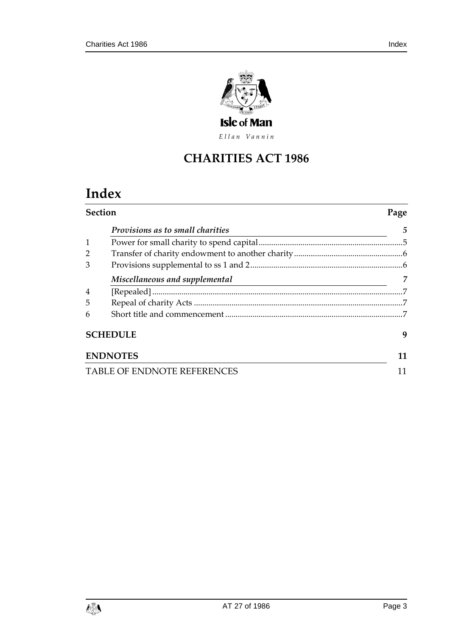

Ellan Vannin

## **CHARITIES ACT 1986**

# **Index**

| <b>Section</b>                     |                                         | Page |
|------------------------------------|-----------------------------------------|------|
|                                    | <i>Provisions as to small charities</i> | 5    |
|                                    |                                         |      |
|                                    |                                         |      |
| 3                                  |                                         |      |
|                                    | Miscellaneous and supplemental          | 7    |
| $\overline{4}$                     |                                         | 7    |
| 5                                  |                                         |      |
| 6                                  |                                         |      |
|                                    | <b>SCHEDULE</b>                         | 9    |
|                                    | <b>ENDNOTES</b>                         | 11   |
| <b>TABLE OF ENDNOTE REFERENCES</b> |                                         | 11   |

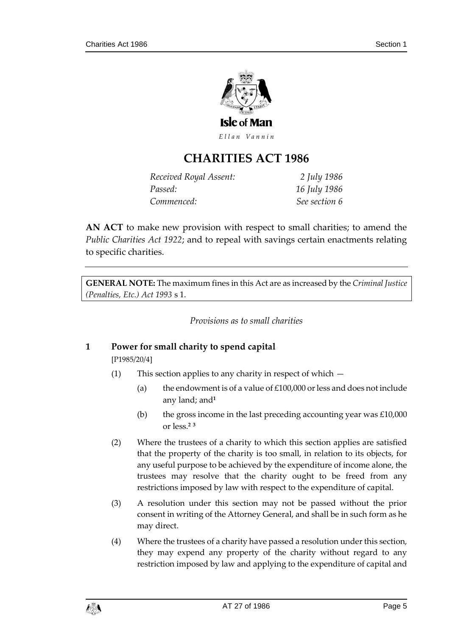

Ellan Vannin

### **CHARITIES ACT 1986**

| Received Royal Assent: | 2 July 1986   |
|------------------------|---------------|
| Passed:                | 16 July 1986  |
| Commenced:             | See section 6 |

**AN ACT** to make new provision with respect to small charities; to amend the *Public Charities Act 1922*; and to repeal with savings certain enactments relating to specific charities.

<span id="page-4-0"></span>**GENERAL NOTE:** The maximum fines in this Act are as increased by the *Criminal Justice (Penalties, Etc.) Act 1993* s 1.

*Provisions as to small charities*

#### <span id="page-4-1"></span>**1 Power for small charity to spend capital**

[P1985/20/4]

- (1) This section applies to any charity in respect of which
	- (a) the endowment is of a value of  $£100,000$  or less and does not include any land; and**<sup>1</sup>**
	- (b) the gross income in the last preceding accounting year was  $£10,000$ or less.**<sup>2</sup> <sup>3</sup>**
- (2) Where the trustees of a charity to which this section applies are satisfied that the property of the charity is too small, in relation to its objects, for any useful purpose to be achieved by the expenditure of income alone, the trustees may resolve that the charity ought to be freed from any restrictions imposed by law with respect to the expenditure of capital.
- (3) A resolution under this section may not be passed without the prior consent in writing of the Attorney General, and shall be in such form as he may direct.
- (4) Where the trustees of a charity have passed a resolution under this section, they may expend any property of the charity without regard to any restriction imposed by law and applying to the expenditure of capital and

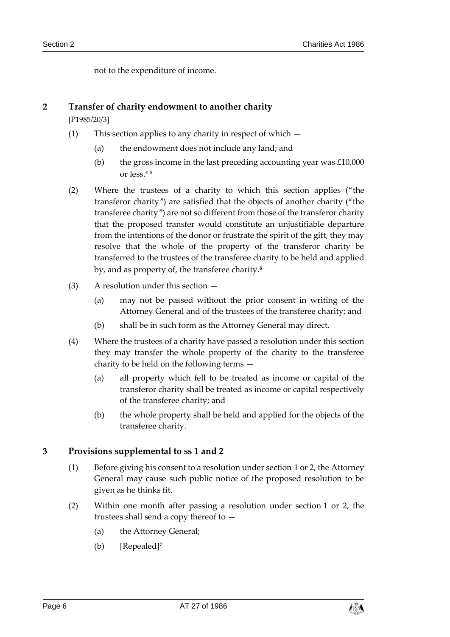not to the expenditure of income.

#### <span id="page-5-0"></span>**2 Transfer of charity endowment to another charity**

[P1985/20/3]

- (1) This section applies to any charity in respect of which
	- (a) the endowment does not include any land; and
	- (b) the gross income in the last preceding accounting year was  $£10,000$ or less.**<sup>4</sup> <sup>5</sup>**
- (2) Where the trustees of a charity to which this section applies ("the transferor charity") are satisfied that the objects of another charity ("the transferee charity") are not so different from those of the transferor charity that the proposed transfer would constitute an unjustifiable departure from the intentions of the donor or frustrate the spirit of the gift, they may resolve that the whole of the property of the transferor charity be transferred to the trustees of the transferee charity to be held and applied by, and as property of, the transferee charity.**<sup>6</sup>**
- (3) A resolution under this section
	- (a) may not be passed without the prior consent in writing of the Attorney General and of the trustees of the transferee charity; and
	- (b) shall be in such form as the Attorney General may direct.
- (4) Where the trustees of a charity have passed a resolution under this section they may transfer the whole property of the charity to the transferee charity to be held on the following terms —
	- (a) all property which fell to be treated as income or capital of the transferor charity shall be treated as income or capital respectively of the transferee charity; and
	- (b) the whole property shall be held and applied for the objects of the transferee charity.

#### <span id="page-5-1"></span>**3 Provisions supplemental to ss 1 and 2**

- (1) Before giving his consent to a resolution under section 1 or 2, the Attorney General may cause such public notice of the proposed resolution to be given as he thinks fit.
- (2) Within one month after passing a resolution under section 1 or 2, the trustees shall send a copy thereof to —
	- (a) the Attorney General;
	- (b) [Repealed]**<sup>7</sup>**

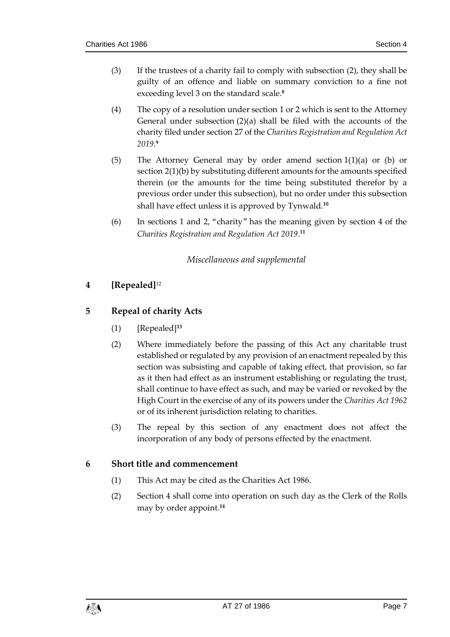- (3) If the trustees of a charity fail to comply with subsection (2), they shall be guilty of an offence and liable on summary conviction to a fine not exceeding level 3 on the standard scale. **8**
- (4) The copy of a resolution under section 1 or 2 which is sent to the Attorney General under subsection (2)(a) shall be filed with the accounts of the charity filed under section 27 of the *Charities Registration and Regulation Act 2019*. **9**
- (5) The Attorney General may by order amend section 1(1)(a) or (b) or section 2(1)(b) by substituting different amounts for the amounts specified therein (or the amounts for the time being substituted therefor by a previous order under this subsection), but no order under this subsection shall have effect unless it is approved by Tynwald.**<sup>10</sup>**
- <span id="page-6-0"></span>(6) In sections 1 and 2, "charity" has the meaning given by section 4 of the *Charities Registration and Regulation Act 2019*. **11**

#### *Miscellaneous and supplemental*

#### <span id="page-6-1"></span>**4 [Repealed]**<sup>12</sup>

#### <span id="page-6-2"></span>**5 Repeal of charity Acts**

- (1) [Repealed]**<sup>13</sup>**
- (2) Where immediately before the passing of this Act any charitable trust established or regulated by any provision of an enactment repealed by this section was subsisting and capable of taking effect, that provision, so far as it then had effect as an instrument establishing or regulating the trust, shall continue to have effect as such, and may be varied or revoked by the High Court in the exercise of any of its powers under the *Charities Act 1962* or of its inherent jurisdiction relating to charities.
- (3) The repeal by this section of any enactment does not affect the incorporation of any body of persons effected by the enactment.

#### <span id="page-6-3"></span>**6 Short title and commencement**

- (1) This Act may be cited as the Charities Act 1986.
- (2) Section 4 shall come into operation on such day as the Clerk of the Rolls may by order appoint.**14**

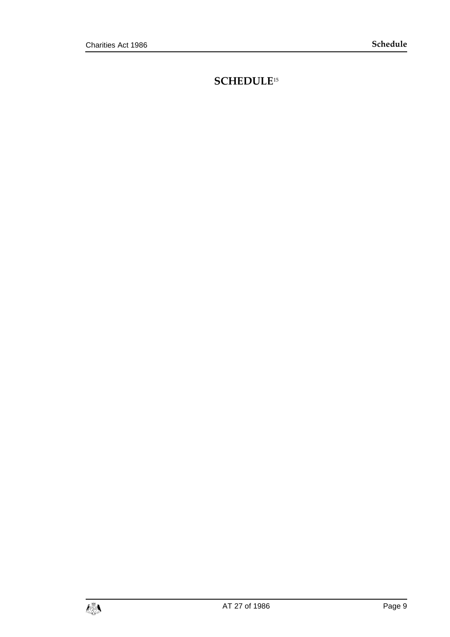### <span id="page-8-0"></span>**SCHEDULE**15